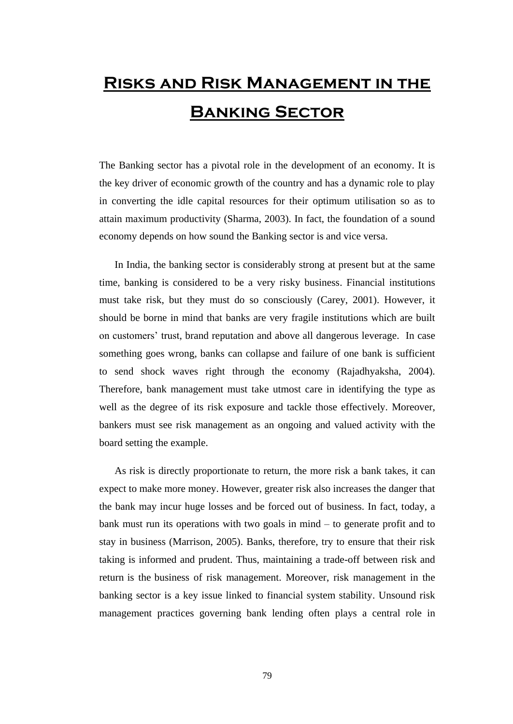# **Risks and Risk Management in the Banking Sector**

The Banking sector has a pivotal role in the development of an economy. It is the key driver of economic growth of the country and has a dynamic role to play in converting the idle capital resources for their optimum utilisation so as to attain maximum productivity (Sharma, 2003). In fact, the foundation of a sound economy depends on how sound the Banking sector is and vice versa.

In India, the banking sector is considerably strong at present but at the same time, banking is considered to be a very risky business. Financial institutions must take risk, but they must do so consciously (Carey, 2001). However, it should be borne in mind that banks are very fragile institutions which are built on customers' trust, brand reputation and above all dangerous leverage. In case something goes wrong, banks can collapse and failure of one bank is sufficient to send shock waves right through the economy (Rajadhyaksha, 2004). Therefore, bank management must take utmost care in identifying the type as well as the degree of its risk exposure and tackle those effectively. Moreover, bankers must see risk management as an ongoing and valued activity with the board setting the example.

As risk is directly proportionate to return, the more risk a bank takes, it can expect to make more money. However, greater risk also increases the danger that the bank may incur huge losses and be forced out of business. In fact, today, a bank must run its operations with two goals in mind – to generate profit and to stay in business (Marrison, 2005). Banks, therefore, try to ensure that their risk taking is informed and prudent. Thus, maintaining a trade-off between risk and return is the business of risk management. Moreover, risk management in the banking sector is a key issue linked to financial system stability. Unsound risk management practices governing bank lending often plays a central role in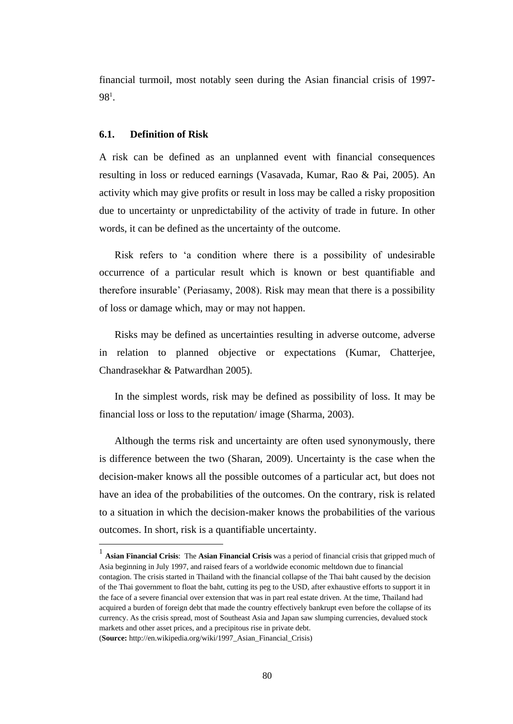financial turmoil, most notably seen during the Asian financial crisis of 1997-  $98^1$ .

#### **6.1. Definition of Risk**

A risk can be defined as an unplanned event with financial consequences resulting in loss or reduced earnings (Vasavada, Kumar, Rao & Pai, 2005). An activity which may give profits or result in loss may be called a risky proposition due to uncertainty or unpredictability of the activity of trade in future. In other words, it can be defined as the uncertainty of the outcome.

Risk refers to 'a condition where there is a possibility of undesirable occurrence of a particular result which is known or best quantifiable and therefore insurable' (Periasamy, 2008). Risk may mean that there is a possibility of loss or damage which, may or may not happen.

Risks may be defined as uncertainties resulting in adverse outcome, adverse in relation to planned objective or expectations (Kumar, Chatterjee, Chandrasekhar & Patwardhan 2005).

In the simplest words, risk may be defined as possibility of loss. It may be financial loss or loss to the reputation/ image (Sharma, 2003).

Although the terms risk and uncertainty are often used synonymously, there is difference between the two (Sharan, 2009). Uncertainty is the case when the decision-maker knows all the possible outcomes of a particular act, but does not have an idea of the probabilities of the outcomes. On the contrary, risk is related to a situation in which the decision-maker knows the probabilities of the various outcomes. In short, risk is a quantifiable uncertainty.

1

<sup>1</sup> **Asian Financial Crisis**: The **Asian Financial Crisis** was a period of [financial crisis](http://en.wikipedia.org/wiki/Financial_crisis) that gripped much of [Asia](http://en.wikipedia.org/wiki/Asia) beginning in July 1997, and raised fears of a worldwide economic meltdown due t[o financial](http://en.wikipedia.org/wiki/Financial_contagion)  [contagion.](http://en.wikipedia.org/wiki/Financial_contagion) The crisis started in [Thailand](http://en.wikipedia.org/wiki/Thailand) with the financial collapse of th[e Thai baht](http://en.wikipedia.org/wiki/Thai_baht) caused by the decision of the Thai government t[o float](http://en.wikipedia.org/wiki/Floating_currency) the baht, cutting it[s peg](http://en.wikipedia.org/wiki/Fixed_exchange_rate) to the [USD,](http://en.wikipedia.org/wiki/USD) after exhaustive efforts to support it in the face of a severe financial over extension that was in part [real estate](http://en.wikipedia.org/wiki/Real_estate) driven. At the time, Thailand had acquired a burden o[f foreign debt](http://en.wikipedia.org/wiki/Foreign_debt) that made the country effectively [bankrupt](http://en.wikipedia.org/wiki/Bankrupt) even before the collapse of its currency. As the crisis spread, most o[f Southeast Asia](http://en.wikipedia.org/wiki/Southeast_Asia) an[d Japan](http://en.wikipedia.org/wiki/Japan) saw slumping currencies, devalued stock markets and other [asset](http://en.wikipedia.org/wiki/Asset) prices, and a precipitous rise in [private debt.](http://en.wikipedia.org/wiki/Private_debt)

<sup>(</sup>**Source:** http://en.wikipedia.org/wiki/1997\_Asian\_Financial\_Crisis)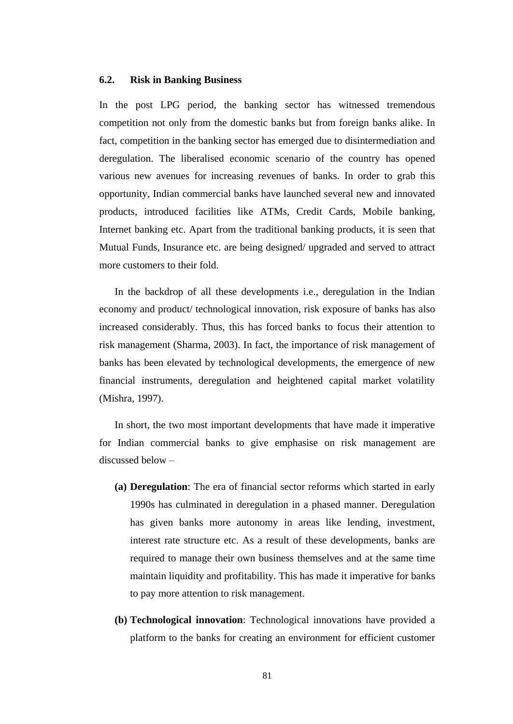### **6.2. Risk in Banking Business**

In the post LPG period, the banking sector has witnessed tremendous competition not only from the domestic banks but from foreign banks alike. In fact, competition in the banking sector has emerged due to disintermediation and deregulation. The liberalised economic scenario of the country has opened various new avenues for increasing revenues of banks. In order to grab this opportunity, Indian commercial banks have launched several new and innovated products, introduced facilities like ATMs, Credit Cards, Mobile banking, Internet banking etc. Apart from the traditional banking products, it is seen that Mutual Funds, Insurance etc. are being designed/ upgraded and served to attract more customers to their fold.

In the backdrop of all these developments i.e., deregulation in the Indian economy and product/ technological innovation, risk exposure of banks has also increased considerably. Thus, this has forced banks to focus their attention to risk management (Sharma, 2003). In fact, the importance of risk management of banks has been elevated by technological developments, the emergence of new financial instruments, deregulation and heightened capital market volatility (Mishra, 1997).

In short, the two most important developments that have made it imperative for Indian commercial banks to give emphasise on risk management are discussed below –

- **(a) Deregulation**: The era of financial sector reforms which started in early 1990s has culminated in deregulation in a phased manner. Deregulation has given banks more autonomy in areas like lending, investment, interest rate structure etc. As a result of these developments, banks are required to manage their own business themselves and at the same time maintain liquidity and profitability. This has made it imperative for banks to pay more attention to risk management.
- **(b) Technological innovation**: Technological innovations have provided a platform to the banks for creating an environment for efficient customer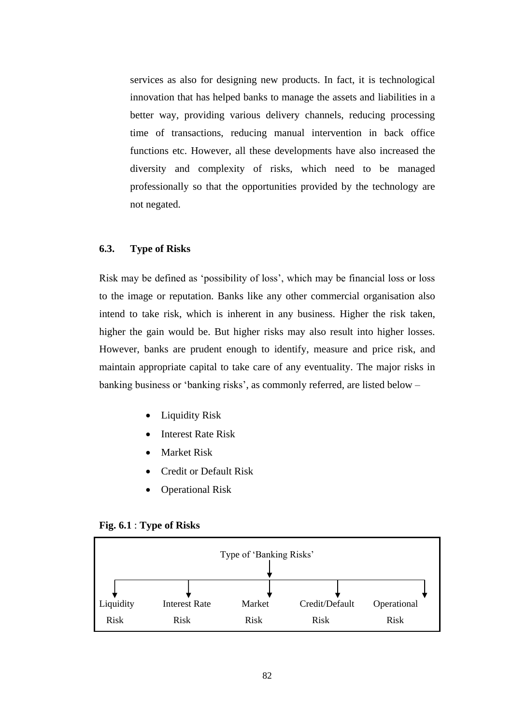services as also for designing new products. In fact, it is technological innovation that has helped banks to manage the assets and liabilities in a better way, providing various delivery channels, reducing processing time of transactions, reducing manual intervention in back office functions etc. However, all these developments have also increased the diversity and complexity of risks, which need to be managed professionally so that the opportunities provided by the technology are not negated.

# **6.3. Type of Risks**

Risk may be defined as 'possibility of loss', which may be financial loss or loss to the image or reputation. Banks like any other commercial organisation also intend to take risk, which is inherent in any business. Higher the risk taken, higher the gain would be. But higher risks may also result into higher losses. However, banks are prudent enough to identify, measure and price risk, and maintain appropriate capital to take care of any eventuality. The major risks in banking business or 'banking risks', as commonly referred, are listed below –

- Liquidity Risk
- Interest Rate Risk
- Market Risk
- Credit or Default Risk
- Operational Risk



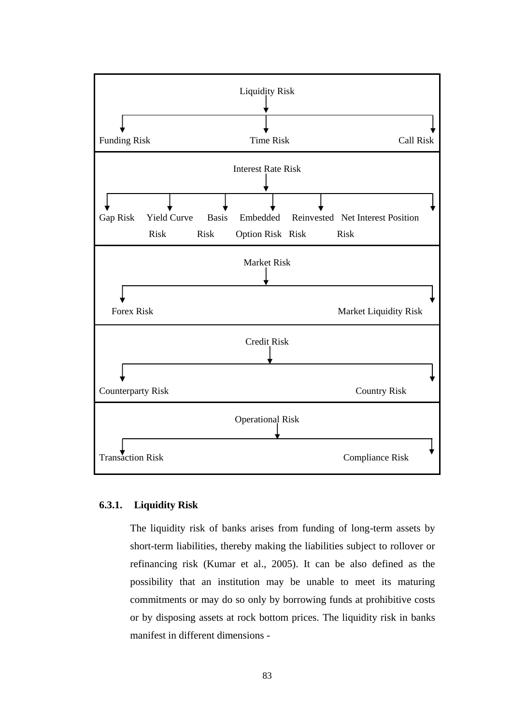

## **6.3.1. Liquidity Risk**

The liquidity risk of banks arises from funding of long-term assets by short-term liabilities, thereby making the liabilities subject to rollover or refinancing risk (Kumar et al., 2005). It can be also defined as the possibility that an institution may be unable to meet its maturing commitments or may do so only by borrowing funds at prohibitive costs or by disposing assets at rock bottom prices. The liquidity risk in banks manifest in different dimensions -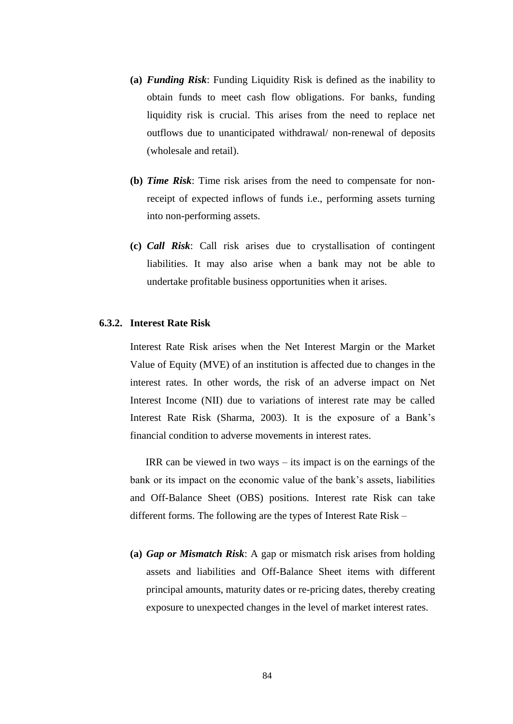- **(a)** *Funding Risk*: Funding Liquidity Risk is defined as the inability to obtain funds to meet cash flow obligations. For banks, funding liquidity risk is crucial. This arises from the need to replace net outflows due to unanticipated withdrawal/ non-renewal of deposits (wholesale and retail).
- **(b)** *Time Risk*: Time risk arises from the need to compensate for nonreceipt of expected inflows of funds i.e., performing assets turning into non-performing assets.
- **(c)** *Call Risk*: Call risk arises due to crystallisation of contingent liabilities. It may also arise when a bank may not be able to undertake profitable business opportunities when it arises.

#### **6.3.2. Interest Rate Risk**

Interest Rate Risk arises when the Net Interest Margin or the Market Value of Equity (MVE) of an institution is affected due to changes in the interest rates. In other words, the risk of an adverse impact on Net Interest Income (NII) due to variations of interest rate may be called Interest Rate Risk (Sharma, 2003). It is the exposure of a Bank's financial condition to adverse movements in interest rates.

IRR can be viewed in two ways – its impact is on the earnings of the bank or its impact on the economic value of the bank's assets, liabilities and Off-Balance Sheet (OBS) positions. Interest rate Risk can take different forms. The following are the types of Interest Rate Risk –

**(a)** *Gap or Mismatch Risk*: A gap or mismatch risk arises from holding assets and liabilities and Off-Balance Sheet items with different principal amounts, maturity dates or re-pricing dates, thereby creating exposure to unexpected changes in the level of market interest rates.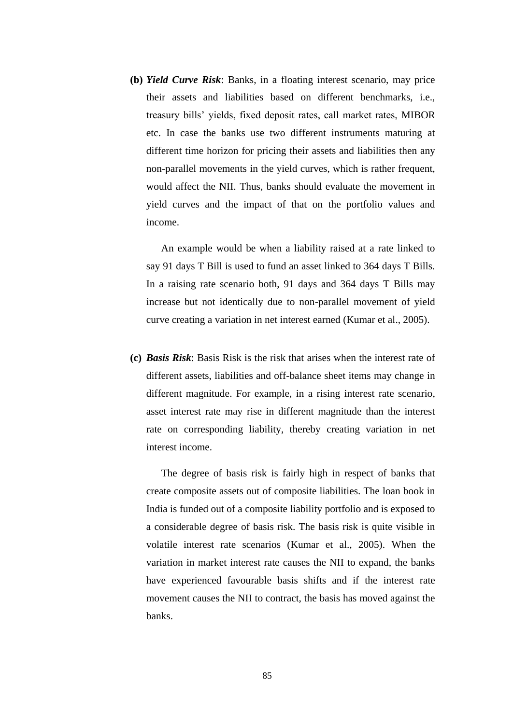**(b)** *Yield Curve Risk*: Banks, in a floating interest scenario, may price their assets and liabilities based on different benchmarks, i.e., treasury bills' yields, fixed deposit rates, call market rates, MIBOR etc. In case the banks use two different instruments maturing at different time horizon for pricing their assets and liabilities then any non-parallel movements in the yield curves, which is rather frequent, would affect the NII. Thus, banks should evaluate the movement in yield curves and the impact of that on the portfolio values and income.

An example would be when a liability raised at a rate linked to say 91 days T Bill is used to fund an asset linked to 364 days T Bills. In a raising rate scenario both, 91 days and 364 days T Bills may increase but not identically due to non-parallel movement of yield curve creating a variation in net interest earned (Kumar et al., 2005).

**(c)** *Basis Risk*: Basis Risk is the risk that arises when the interest rate of different assets, liabilities and off-balance sheet items may change in different magnitude. For example, in a rising interest rate scenario, asset interest rate may rise in different magnitude than the interest rate on corresponding liability, thereby creating variation in net interest income.

The degree of basis risk is fairly high in respect of banks that create composite assets out of composite liabilities. The loan book in India is funded out of a composite liability portfolio and is exposed to a considerable degree of basis risk. The basis risk is quite visible in volatile interest rate scenarios (Kumar et al., 2005). When the variation in market interest rate causes the NII to expand, the banks have experienced favourable basis shifts and if the interest rate movement causes the NII to contract, the basis has moved against the banks.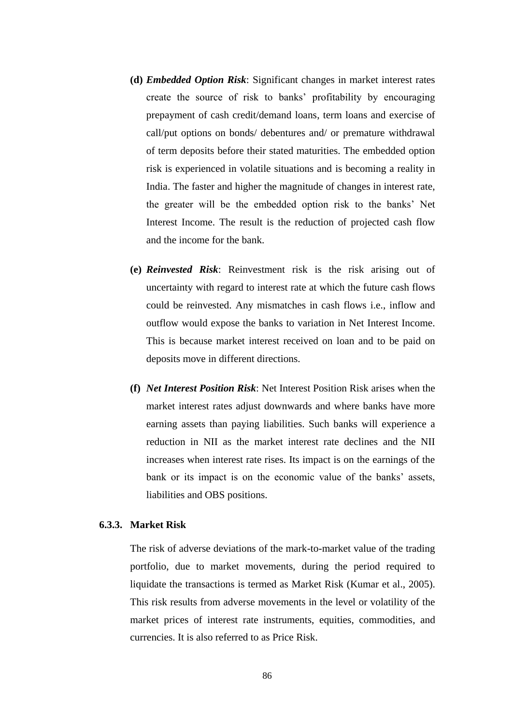- **(d)** *Embedded Option Risk*: Significant changes in market interest rates create the source of risk to banks' profitability by encouraging prepayment of cash credit/demand loans, term loans and exercise of call/put options on bonds/ debentures and/ or premature withdrawal of term deposits before their stated maturities. The embedded option risk is experienced in volatile situations and is becoming a reality in India. The faster and higher the magnitude of changes in interest rate, the greater will be the embedded option risk to the banks' Net Interest Income. The result is the reduction of projected cash flow and the income for the bank.
- **(e)** *Reinvested Risk*: Reinvestment risk is the risk arising out of uncertainty with regard to interest rate at which the future cash flows could be reinvested. Any mismatches in cash flows i.e., inflow and outflow would expose the banks to variation in Net Interest Income. This is because market interest received on loan and to be paid on deposits move in different directions.
- **(f)** *Net Interest Position Risk*: Net Interest Position Risk arises when the market interest rates adjust downwards and where banks have more earning assets than paying liabilities. Such banks will experience a reduction in NII as the market interest rate declines and the NII increases when interest rate rises. Its impact is on the earnings of the bank or its impact is on the economic value of the banks' assets, liabilities and OBS positions.

# **6.3.3. Market Risk**

The risk of adverse deviations of the mark-to-market value of the trading portfolio, due to market movements, during the period required to liquidate the transactions is termed as Market Risk (Kumar et al., 2005). This risk results from adverse movements in the level or volatility of the market prices of interest rate instruments, equities, commodities, and currencies. It is also referred to as Price Risk.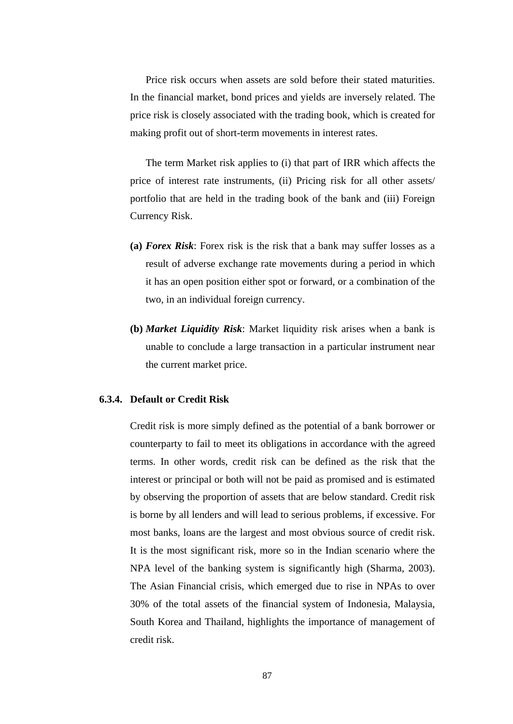Price risk occurs when assets are sold before their stated maturities. In the financial market, bond prices and yields are inversely related. The price risk is closely associated with the trading book, which is created for making profit out of short-term movements in interest rates.

The term Market risk applies to (i) that part of IRR which affects the price of interest rate instruments, (ii) Pricing risk for all other assets/ portfolio that are held in the trading book of the bank and (iii) Foreign Currency Risk.

- **(a)** *Forex Risk*: Forex risk is the risk that a bank may suffer losses as a result of adverse exchange rate movements during a period in which it has an open position either spot or forward, or a combination of the two, in an individual foreign currency.
- **(b)** *Market Liquidity Risk*: Market liquidity risk arises when a bank is unable to conclude a large transaction in a particular instrument near the current market price.

# **6.3.4. Default or Credit Risk**

Credit risk is more simply defined as the potential of a bank borrower or counterparty to fail to meet its obligations in accordance with the agreed terms. In other words, credit risk can be defined as the risk that the interest or principal or both will not be paid as promised and is estimated by observing the proportion of assets that are below standard. Credit risk is borne by all lenders and will lead to serious problems, if excessive. For most banks, loans are the largest and most obvious source of credit risk. It is the most significant risk, more so in the Indian scenario where the NPA level of the banking system is significantly high (Sharma, 2003). The Asian Financial crisis, which emerged due to rise in NPAs to over 30% of the total assets of the financial system of Indonesia, Malaysia, South Korea and Thailand, highlights the importance of management of credit risk.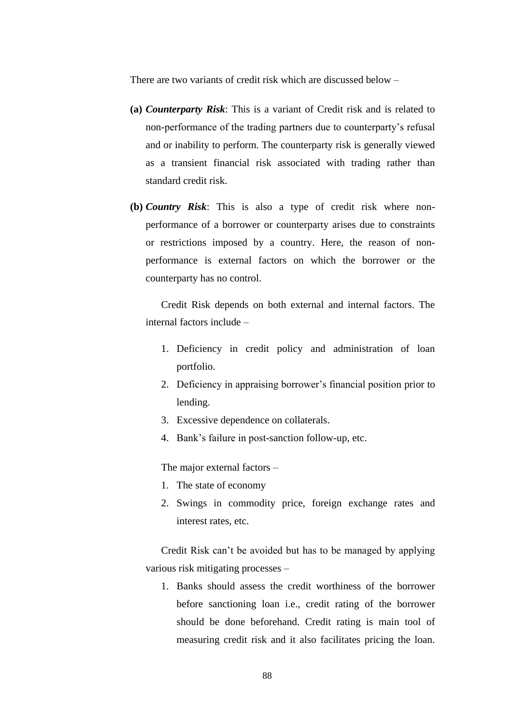There are two variants of credit risk which are discussed below –

- **(a)** *Counterparty Risk*: This is a variant of Credit risk and is related to non-performance of the trading partners due to counterparty's refusal and or inability to perform. The counterparty risk is generally viewed as a transient financial risk associated with trading rather than standard credit risk.
- **(b)** *Country Risk*: This is also a type of credit risk where nonperformance of a borrower or counterparty arises due to constraints or restrictions imposed by a country. Here, the reason of nonperformance is external factors on which the borrower or the counterparty has no control.

Credit Risk depends on both external and internal factors. The internal factors include –

- 1. Deficiency in credit policy and administration of loan portfolio.
- 2. Deficiency in appraising borrower's financial position prior to lending.
- 3. Excessive dependence on collaterals.
- 4. Bank's failure in post-sanction follow-up, etc.

The major external factors –

- 1. The state of economy
- 2. Swings in commodity price, foreign exchange rates and interest rates, etc.

Credit Risk can't be avoided but has to be managed by applying various risk mitigating processes –

1. Banks should assess the credit worthiness of the borrower before sanctioning loan i.e., credit rating of the borrower should be done beforehand. Credit rating is main tool of measuring credit risk and it also facilitates pricing the loan.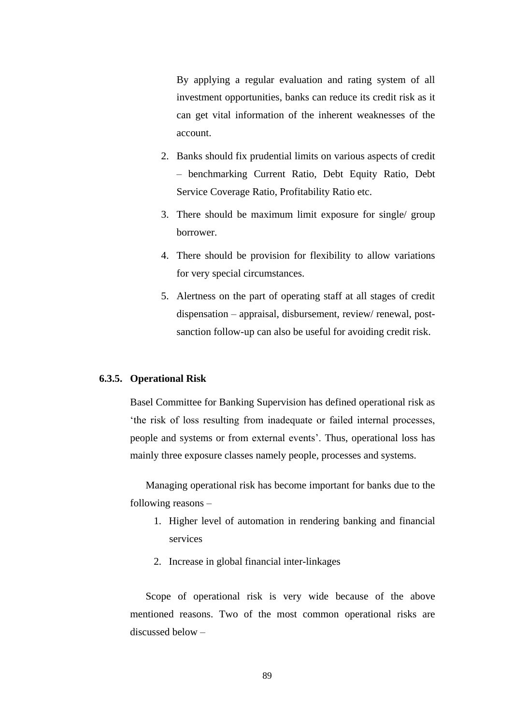By applying a regular evaluation and rating system of all investment opportunities, banks can reduce its credit risk as it can get vital information of the inherent weaknesses of the account.

- 2. Banks should fix prudential limits on various aspects of credit – benchmarking Current Ratio, Debt Equity Ratio, Debt Service Coverage Ratio, Profitability Ratio etc.
- 3. There should be maximum limit exposure for single/ group borrower.
- 4. There should be provision for flexibility to allow variations for very special circumstances.
- 5. Alertness on the part of operating staff at all stages of credit dispensation – appraisal, disbursement, review/ renewal, postsanction follow-up can also be useful for avoiding credit risk.

# **6.3.5. Operational Risk**

Basel Committee for Banking Supervision has defined operational risk as 'the risk of loss resulting from inadequate or failed internal processes, people and systems or from external events'. Thus, operational loss has mainly three exposure classes namely people, processes and systems.

Managing operational risk has become important for banks due to the following reasons –

- 1. Higher level of automation in rendering banking and financial services
- 2. Increase in global financial inter-linkages

Scope of operational risk is very wide because of the above mentioned reasons. Two of the most common operational risks are discussed below –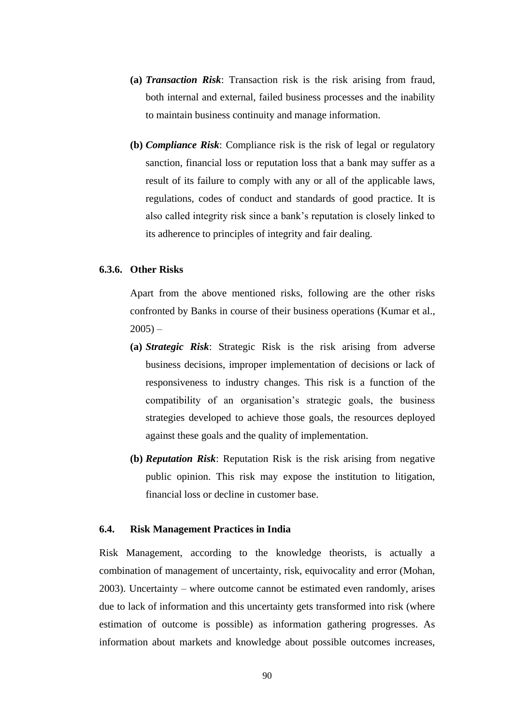- **(a)** *Transaction Risk*: Transaction risk is the risk arising from fraud, both internal and external, failed business processes and the inability to maintain business continuity and manage information.
- **(b)** *Compliance Risk*: Compliance risk is the risk of legal or regulatory sanction, financial loss or reputation loss that a bank may suffer as a result of its failure to comply with any or all of the applicable laws, regulations, codes of conduct and standards of good practice. It is also called integrity risk since a bank's reputation is closely linked to its adherence to principles of integrity and fair dealing.

# **6.3.6. Other Risks**

Apart from the above mentioned risks, following are the other risks confronted by Banks in course of their business operations (Kumar et al.,  $2005$ ) –

- **(a)** *Strategic Risk*: Strategic Risk is the risk arising from adverse business decisions, improper implementation of decisions or lack of responsiveness to industry changes. This risk is a function of the compatibility of an organisation's strategic goals, the business strategies developed to achieve those goals, the resources deployed against these goals and the quality of implementation.
- **(b)** *Reputation Risk*: Reputation Risk is the risk arising from negative public opinion. This risk may expose the institution to litigation, financial loss or decline in customer base.

#### **6.4. Risk Management Practices in India**

Risk Management, according to the knowledge theorists, is actually a combination of management of uncertainty, risk, equivocality and error (Mohan, 2003). Uncertainty – where outcome cannot be estimated even randomly, arises due to lack of information and this uncertainty gets transformed into risk (where estimation of outcome is possible) as information gathering progresses. As information about markets and knowledge about possible outcomes increases,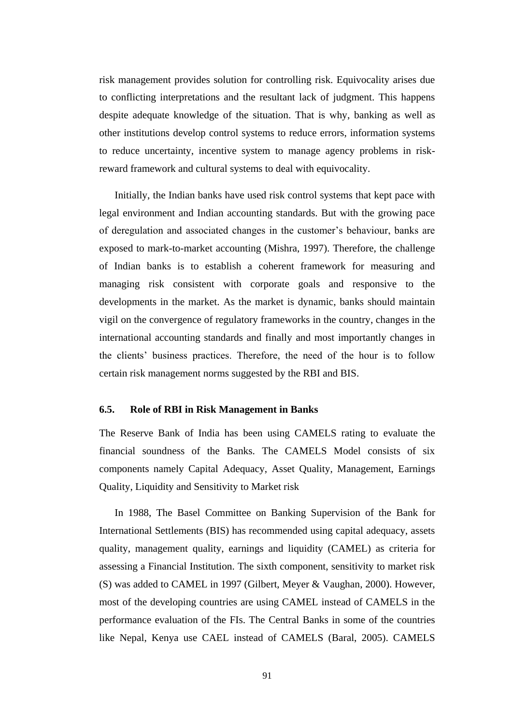risk management provides solution for controlling risk. Equivocality arises due to conflicting interpretations and the resultant lack of judgment. This happens despite adequate knowledge of the situation. That is why, banking as well as other institutions develop control systems to reduce errors, information systems to reduce uncertainty, incentive system to manage agency problems in riskreward framework and cultural systems to deal with equivocality.

Initially, the Indian banks have used risk control systems that kept pace with legal environment and Indian accounting standards. But with the growing pace of deregulation and associated changes in the customer's behaviour, banks are exposed to mark-to-market accounting (Mishra, 1997). Therefore, the challenge of Indian banks is to establish a coherent framework for measuring and managing risk consistent with corporate goals and responsive to the developments in the market. As the market is dynamic, banks should maintain vigil on the convergence of regulatory frameworks in the country, changes in the international accounting standards and finally and most importantly changes in the clients' business practices. Therefore, the need of the hour is to follow certain risk management norms suggested by the RBI and BIS.

# **6.5. Role of RBI in Risk Management in Banks**

The Reserve Bank of India has been using CAMELS rating to evaluate the financial soundness of the Banks. The CAMELS Model consists of six components namely Capital Adequacy, Asset Quality, Management, Earnings Quality, Liquidity and Sensitivity to Market risk

In 1988, The Basel Committee on Banking Supervision of the Bank for International Settlements (BIS) has recommended using capital adequacy, assets quality, management quality, earnings and liquidity (CAMEL) as criteria for assessing a Financial Institution. The sixth component, sensitivity to market risk (S) was added to CAMEL in 1997 (Gilbert, Meyer & Vaughan, 2000). However, most of the developing countries are using CAMEL instead of CAMELS in the performance evaluation of the FIs. The Central Banks in some of the countries like Nepal, Kenya use CAEL instead of CAMELS (Baral, 2005). CAMELS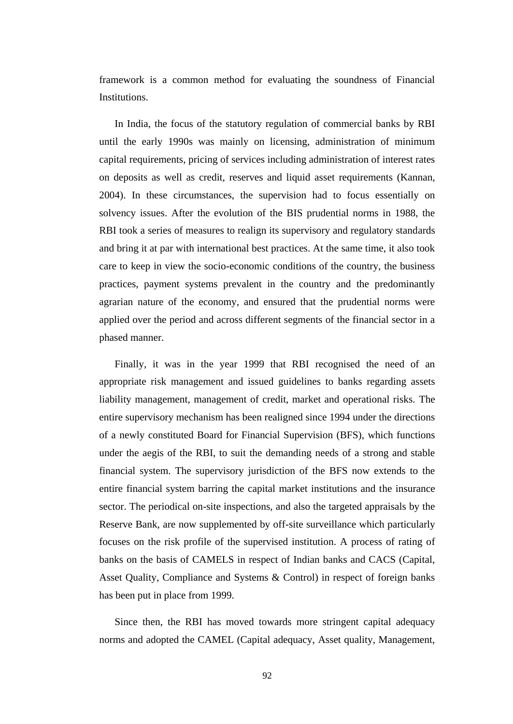framework is a common method for evaluating the soundness of Financial **Institutions** 

In India, the focus of the statutory regulation of commercial banks by RBI until the early 1990s was mainly on licensing, administration of minimum capital requirements, pricing of services including administration of interest rates on deposits as well as credit, reserves and liquid asset requirements (Kannan, 2004). In these circumstances, the supervision had to focus essentially on solvency issues. After the evolution of the BIS prudential norms in 1988, the RBI took a series of measures to realign its supervisory and regulatory standards and bring it at par with international best practices. At the same time, it also took care to keep in view the socio-economic conditions of the country, the business practices, payment systems prevalent in the country and the predominantly agrarian nature of the economy, and ensured that the prudential norms were applied over the period and across different segments of the financial sector in a phased manner.

Finally, it was in the year 1999 that RBI recognised the need of an appropriate risk management and issued guidelines to banks regarding assets liability management, management of credit, market and operational risks. The entire supervisory mechanism has been realigned since 1994 under the directions of a newly constituted Board for Financial Supervision (BFS), which functions under the aegis of the RBI, to suit the demanding needs of a strong and stable financial system. The supervisory jurisdiction of the BFS now extends to the entire financial system barring the capital market institutions and the insurance sector. The periodical on-site inspections, and also the targeted appraisals by the Reserve Bank, are now supplemented by off-site surveillance which particularly focuses on the risk profile of the supervised institution. A process of rating of banks on the basis of CAMELS in respect of Indian banks and CACS (Capital, Asset Quality, Compliance and Systems & Control) in respect of foreign banks has been put in place from 1999.

Since then, the RBI has moved towards more stringent capital adequacy norms and adopted the CAMEL (Capital adequacy, Asset quality, Management,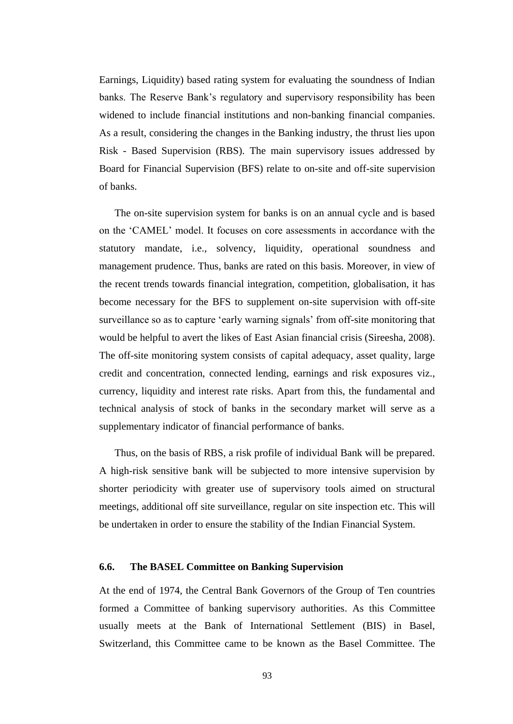Earnings, Liquidity) based rating system for evaluating the soundness of Indian banks. The Reserve Bank's regulatory and supervisory responsibility has been widened to include financial institutions and non-banking financial companies. As a result, considering the changes in the Banking industry, the thrust lies upon Risk - Based Supervision (RBS). The main supervisory issues addressed by Board for Financial Supervision (BFS) relate to on-site and off-site supervision of banks.

The on-site supervision system for banks is on an annual cycle and is based on the 'CAMEL' model. It focuses on core assessments in accordance with the statutory mandate, i.e., solvency, liquidity, operational soundness and management prudence. Thus, banks are rated on this basis. Moreover, in view of the recent trends towards financial integration, competition, globalisation, it has become necessary for the BFS to supplement on-site supervision with off-site surveillance so as to capture 'early warning signals' from off-site monitoring that would be helpful to avert the likes of East Asian financial crisis (Sireesha, 2008). The off-site monitoring system consists of capital adequacy, asset quality, large credit and concentration, connected lending, earnings and risk exposures viz., currency, liquidity and interest rate risks. Apart from this, the fundamental and technical analysis of stock of banks in the secondary market will serve as a supplementary indicator of financial performance of banks.

Thus, on the basis of RBS, a risk profile of individual Bank will be prepared. A high-risk sensitive bank will be subjected to more intensive supervision by shorter periodicity with greater use of supervisory tools aimed on structural meetings, additional off site surveillance, regular on site inspection etc. This will be undertaken in order to ensure the stability of the Indian Financial System.

## **6.6. The BASEL Committee on Banking Supervision**

At the end of 1974, the Central Bank Governors of the Group of Ten countries formed a Committee of banking supervisory authorities. As this Committee usually meets at the Bank of International Settlement (BIS) in Basel, Switzerland, this Committee came to be known as the Basel Committee. The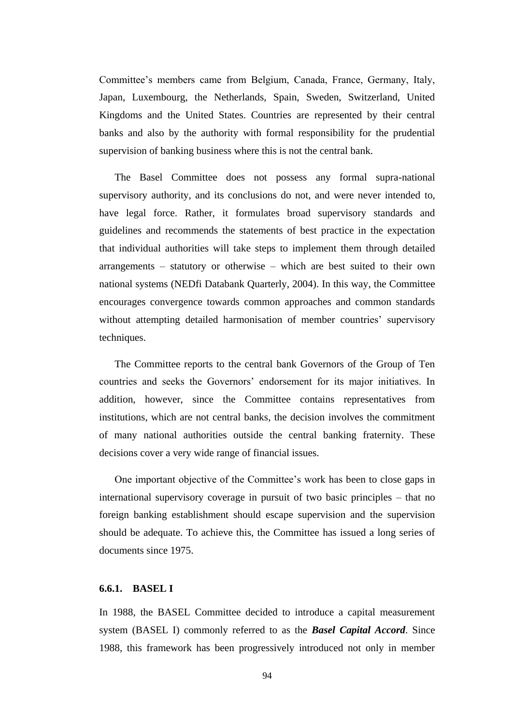Committee's members came from Belgium, Canada, France, Germany, Italy, Japan, Luxembourg, the Netherlands, Spain, Sweden, Switzerland, United Kingdoms and the United States. Countries are represented by their central banks and also by the authority with formal responsibility for the prudential supervision of banking business where this is not the central bank.

The Basel Committee does not possess any formal supra-national supervisory authority, and its conclusions do not, and were never intended to, have legal force. Rather, it formulates broad supervisory standards and guidelines and recommends the statements of best practice in the expectation that individual authorities will take steps to implement them through detailed arrangements – statutory or otherwise – which are best suited to their own national systems (NEDfi Databank Quarterly, 2004). In this way, the Committee encourages convergence towards common approaches and common standards without attempting detailed harmonisation of member countries' supervisory techniques.

The Committee reports to the central bank Governors of the Group of Ten countries and seeks the Governors' endorsement for its major initiatives. In addition, however, since the Committee contains representatives from institutions, which are not central banks, the decision involves the commitment of many national authorities outside the central banking fraternity. These decisions cover a very wide range of financial issues.

One important objective of the Committee's work has been to close gaps in international supervisory coverage in pursuit of two basic principles – that no foreign banking establishment should escape supervision and the supervision should be adequate. To achieve this, the Committee has issued a long series of documents since 1975.

# **6.6.1. BASEL I**

In 1988, the BASEL Committee decided to introduce a capital measurement system (BASEL I) commonly referred to as the *Basel Capital Accord*. Since 1988, this framework has been progressively introduced not only in member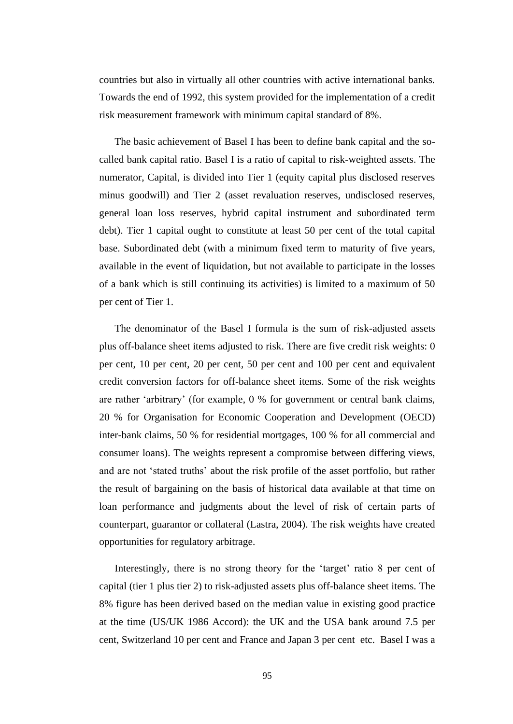countries but also in virtually all other countries with active international banks. Towards the end of 1992, this system provided for the implementation of a credit risk measurement framework with minimum capital standard of 8%.

The basic achievement of Basel I has been to define bank capital and the socalled bank capital ratio. Basel I is a ratio of capital to risk-weighted assets. The numerator, Capital, is divided into Tier 1 (equity capital plus disclosed reserves minus goodwill) and Tier 2 (asset revaluation reserves, undisclosed reserves, general loan loss reserves, hybrid capital instrument and subordinated term debt). Tier 1 capital ought to constitute at least 50 per cent of the total capital base. Subordinated debt (with a minimum fixed term to maturity of five years, available in the event of liquidation, but not available to participate in the losses of a bank which is still continuing its activities) is limited to a maximum of 50 per cent of Tier 1.

The denominator of the Basel I formula is the sum of risk-adjusted assets plus off-balance sheet items adjusted to risk. There are five credit risk weights: 0 per cent, 10 per cent, 20 per cent, 50 per cent and 100 per cent and equivalent credit conversion factors for off-balance sheet items. Some of the risk weights are rather 'arbitrary' (for example, 0 % for government or central bank claims, 20 % for Organisation for Economic Cooperation and Development (OECD) inter-bank claims, 50 % for residential mortgages, 100 % for all commercial and consumer loans). The weights represent a compromise between differing views, and are not 'stated truths' about the risk profile of the asset portfolio, but rather the result of bargaining on the basis of historical data available at that time on loan performance and judgments about the level of risk of certain parts of counterpart, guarantor or collateral (Lastra, 2004). The risk weights have created opportunities for regulatory arbitrage.

Interestingly, there is no strong theory for the 'target' ratio 8 per cent of capital (tier 1 plus tier 2) to risk-adjusted assets plus off-balance sheet items. The 8% figure has been derived based on the median value in existing good practice at the time (US/UK 1986 Accord): the UK and the USA bank around 7.5 per cent, Switzerland 10 per cent and France and Japan 3 per cent etc. Basel I was a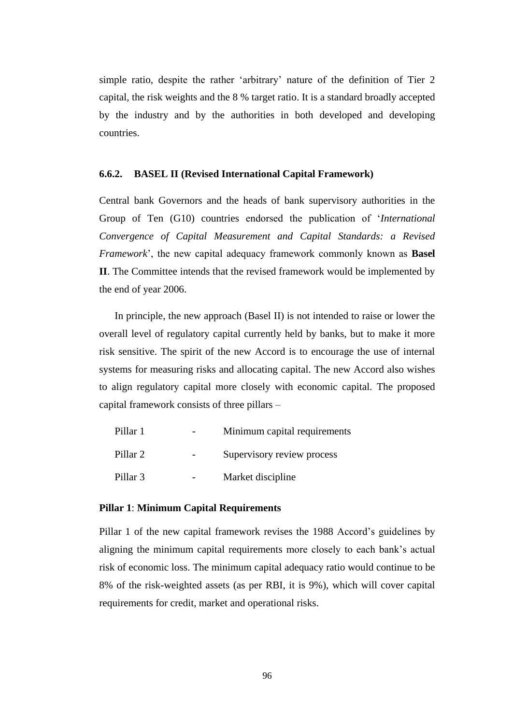simple ratio, despite the rather 'arbitrary' nature of the definition of Tier 2 capital, the risk weights and the 8 % target ratio. It is a standard broadly accepted by the industry and by the authorities in both developed and developing countries.

### **6.6.2. BASEL II (Revised International Capital Framework)**

Central bank Governors and the heads of bank supervisory authorities in the Group of Ten (G10) countries endorsed the publication of '*International Convergence of Capital Measurement and Capital Standards: a Revised Framework*', the new capital adequacy framework commonly known as **Basel II**. The Committee intends that the revised framework would be implemented by the end of year 2006.

In principle, the new approach (Basel II) is not intended to raise or lower the overall level of regulatory capital currently held by banks, but to make it more risk sensitive. The spirit of the new Accord is to encourage the use of internal systems for measuring risks and allocating capital. The new Accord also wishes to align regulatory capital more closely with economic capital. The proposed capital framework consists of three pillars –

| Pillar 1 | Minimum capital requirements |
|----------|------------------------------|
| Pillar 2 | Supervisory review process   |
| Pillar 3 | Market discipline            |

### **Pillar 1**: **Minimum Capital Requirements**

Pillar 1 of the new capital framework revises the 1988 Accord's guidelines by aligning the minimum capital requirements more closely to each bank's actual risk of economic loss. The minimum capital adequacy ratio would continue to be 8% of the risk-weighted assets (as per RBI, it is 9%), which will cover capital requirements for credit, market and operational risks.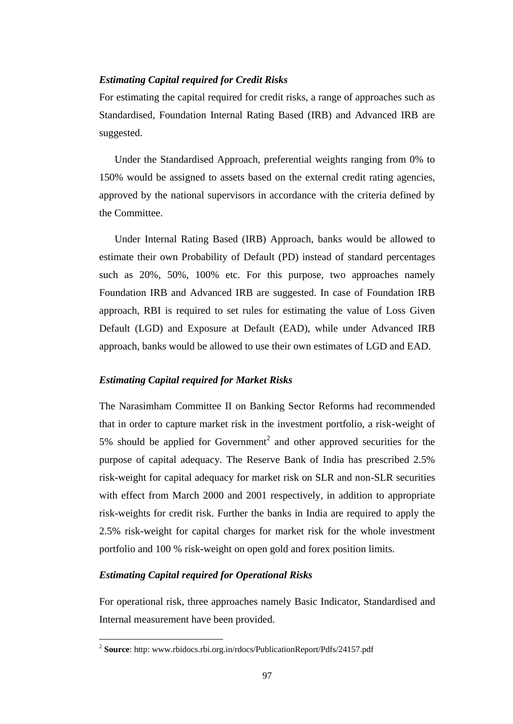# *Estimating Capital required for Credit Risks*

For estimating the capital required for credit risks, a range of approaches such as Standardised, Foundation Internal Rating Based (IRB) and Advanced IRB are suggested.

Under the Standardised Approach, preferential weights ranging from 0% to 150% would be assigned to assets based on the external credit rating agencies, approved by the national supervisors in accordance with the criteria defined by the Committee.

Under Internal Rating Based (IRB) Approach, banks would be allowed to estimate their own Probability of Default (PD) instead of standard percentages such as 20%, 50%, 100% etc. For this purpose, two approaches namely Foundation IRB and Advanced IRB are suggested. In case of Foundation IRB approach, RBI is required to set rules for estimating the value of Loss Given Default (LGD) and Exposure at Default (EAD), while under Advanced IRB approach, banks would be allowed to use their own estimates of LGD and EAD.

# *Estimating Capital required for Market Risks*

The Narasimham Committee II on Banking Sector Reforms had recommended that in order to capture market risk in the investment portfolio, a risk-weight of 5% should be applied for Government<sup>2</sup> and other approved securities for the purpose of capital adequacy. The Reserve Bank of India has prescribed 2.5% risk-weight for capital adequacy for market risk on SLR and non-SLR securities with effect from March 2000 and 2001 respectively, in addition to appropriate risk-weights for credit risk. Further the banks in India are required to apply the 2.5% risk-weight for capital charges for market risk for the whole investment portfolio and 100 % risk-weight on open gold and forex position limits.

# *Estimating Capital required for Operational Risks*

For operational risk, three approaches namely Basic Indicator, Standardised and Internal measurement have been provided.

 2 **Source**: http: www.rbidocs.rbi.org.in/rdocs/PublicationReport/Pdfs/24157.pdf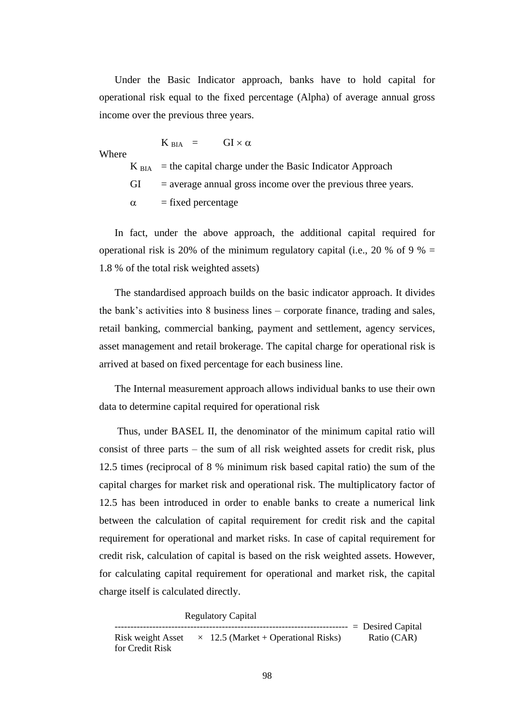Under the Basic Indicator approach, banks have to hold capital for operational risk equal to the fixed percentage (Alpha) of average annual gross income over the previous three years.

 $K_{BIA}$  =  $GI \times \alpha$ 

Where

 $K<sub>BIA</sub>$  = the capital charge under the Basic Indicator Approach

 $GI = average$  annual gross income over the previous three years.

 $\alpha$  = fixed percentage

In fact, under the above approach, the additional capital required for operational risk is 20% of the minimum regulatory capital (i.e., 20 % of 9 %  $=$ 1.8 % of the total risk weighted assets)

The standardised approach builds on the basic indicator approach. It divides the bank's activities into 8 business lines – corporate finance, trading and sales, retail banking, commercial banking, payment and settlement, agency services, asset management and retail brokerage. The capital charge for operational risk is arrived at based on fixed percentage for each business line.

The Internal measurement approach allows individual banks to use their own data to determine capital required for operational risk

Thus, under BASEL II, the denominator of the minimum capital ratio will consist of three parts – the sum of all risk weighted assets for credit risk, plus 12.5 times (reciprocal of 8 % minimum risk based capital ratio) the sum of the capital charges for market risk and operational risk. The multiplicatory factor of 12.5 has been introduced in order to enable banks to create a numerical link between the calculation of capital requirement for credit risk and the capital requirement for operational and market risks. In case of capital requirement for credit risk, calculation of capital is based on the risk weighted assets. However, for calculating capital requirement for operational and market risk, the capital charge itself is calculated directly.

Regulatory Capital

-------------------------------------------------------------------------- = Desired Capital Risk weight Asset  $\times$  12.5 (Market + Operational Risks) Ratio (CAR) for Credit Risk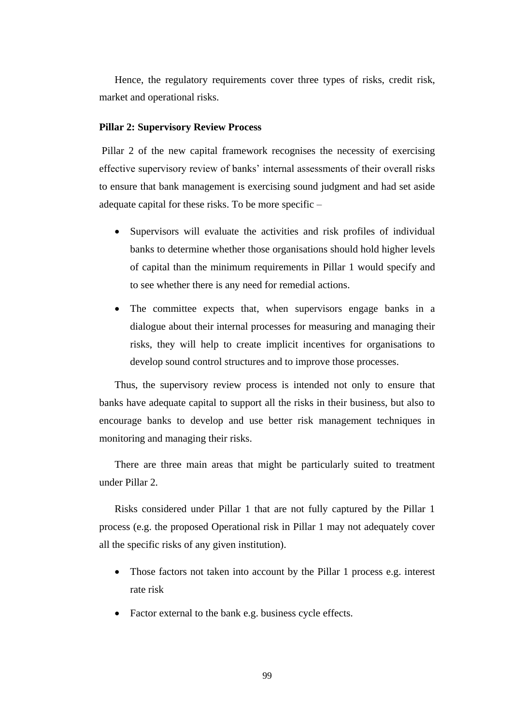Hence, the regulatory requirements cover three types of risks, credit risk, market and operational risks.

## **Pillar 2: Supervisory Review Process**

Pillar 2 of the new capital framework recognises the necessity of exercising effective supervisory review of banks' internal assessments of their overall risks to ensure that bank management is exercising sound judgment and had set aside adequate capital for these risks. To be more specific –

- Supervisors will evaluate the activities and risk profiles of individual banks to determine whether those organisations should hold higher levels of capital than the minimum requirements in Pillar 1 would specify and to see whether there is any need for remedial actions.
- The committee expects that, when supervisors engage banks in a dialogue about their internal processes for measuring and managing their risks, they will help to create implicit incentives for organisations to develop sound control structures and to improve those processes.

Thus, the supervisory review process is intended not only to ensure that banks have adequate capital to support all the risks in their business, but also to encourage banks to develop and use better risk management techniques in monitoring and managing their risks.

There are three main areas that might be particularly suited to treatment under Pillar 2.

Risks considered under Pillar 1 that are not fully captured by the Pillar 1 process (e.g. the proposed Operational risk in Pillar 1 may not adequately cover all the specific risks of any given institution).

- Those factors not taken into account by the Pillar 1 process e.g. interest rate risk
- Factor external to the bank e.g. business cycle effects.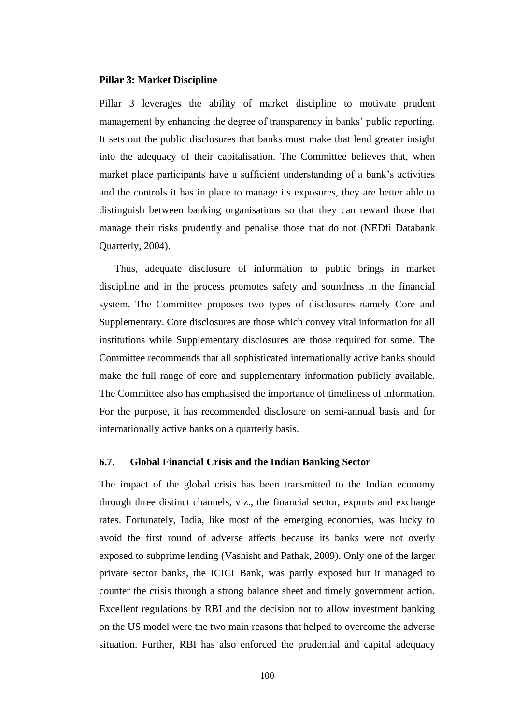#### **Pillar 3: Market Discipline**

Pillar 3 leverages the ability of market discipline to motivate prudent management by enhancing the degree of transparency in banks' public reporting. It sets out the public disclosures that banks must make that lend greater insight into the adequacy of their capitalisation. The Committee believes that, when market place participants have a sufficient understanding of a bank's activities and the controls it has in place to manage its exposures, they are better able to distinguish between banking organisations so that they can reward those that manage their risks prudently and penalise those that do not (NEDfi Databank Quarterly, 2004).

Thus, adequate disclosure of information to public brings in market discipline and in the process promotes safety and soundness in the financial system. The Committee proposes two types of disclosures namely Core and Supplementary. Core disclosures are those which convey vital information for all institutions while Supplementary disclosures are those required for some. The Committee recommends that all sophisticated internationally active banks should make the full range of core and supplementary information publicly available. The Committee also has emphasised the importance of timeliness of information. For the purpose, it has recommended disclosure on semi-annual basis and for internationally active banks on a quarterly basis.

## **6.7. Global Financial Crisis and the Indian Banking Sector**

The impact of the global crisis has been transmitted to the Indian economy through three distinct channels, viz., the financial sector, exports and exchange rates. Fortunately, India, like most of the emerging economies, was lucky to avoid the first round of adverse affects because its banks were not overly exposed to subprime lending (Vashisht and Pathak, 2009). Only one of the larger private sector banks, the ICICI Bank, was partly exposed but it managed to counter the crisis through a strong balance sheet and timely government action. Excellent regulations by RBI and the decision not to allow investment banking on the US model were the two main reasons that helped to overcome the adverse situation. Further, RBI has also enforced the prudential and capital adequacy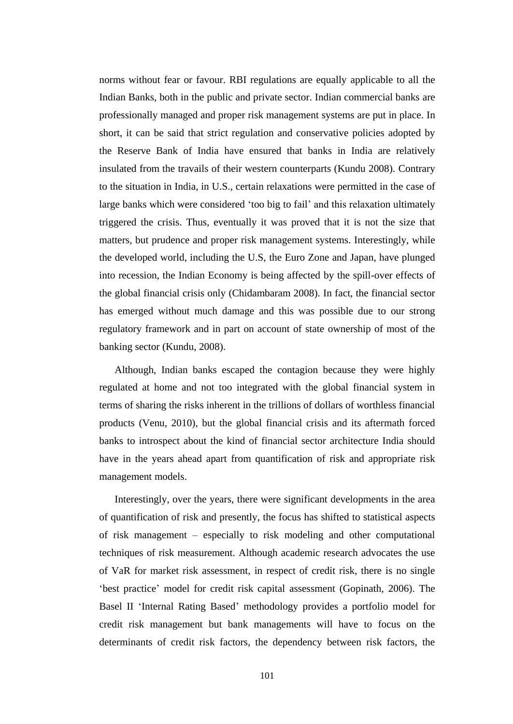norms without fear or favour. RBI regulations are equally applicable to all the Indian Banks, both in the public and private sector. Indian commercial banks are professionally managed and proper risk management systems are put in place. In short, it can be said that strict regulation and conservative policies adopted by the Reserve Bank of India have ensured that banks in India are relatively insulated from the travails of their western counterparts (Kundu 2008). Contrary to the situation in India, in U.S., certain relaxations were permitted in the case of large banks which were considered 'too big to fail' and this relaxation ultimately triggered the crisis. Thus, eventually it was proved that it is not the size that matters, but prudence and proper risk management systems. Interestingly, while the developed world, including the U.S, the Euro Zone and Japan, have plunged into recession, the Indian Economy is being affected by the spill-over effects of the global financial crisis only (Chidambaram 2008). In fact, the financial sector has emerged without much damage and this was possible due to our strong regulatory framework and in part on account of state ownership of most of the banking sector (Kundu, 2008).

Although, Indian banks escaped the contagion because they were highly regulated at home and not too integrated with the global financial system in terms of sharing the risks inherent in the trillions of dollars of worthless financial products (Venu, 2010), but the global financial crisis and its aftermath forced banks to introspect about the kind of financial sector architecture India should have in the years ahead apart from quantification of risk and appropriate risk management models.

Interestingly, over the years, there were significant developments in the area of quantification of risk and presently, the focus has shifted to statistical aspects of risk management – especially to risk modeling and other computational techniques of risk measurement. Although academic research advocates the use of VaR for market risk assessment, in respect of credit risk, there is no single 'best practice' model for credit risk capital assessment (Gopinath, 2006). The Basel II 'Internal Rating Based' methodology provides a portfolio model for credit risk management but bank managements will have to focus on the determinants of credit risk factors, the dependency between risk factors, the